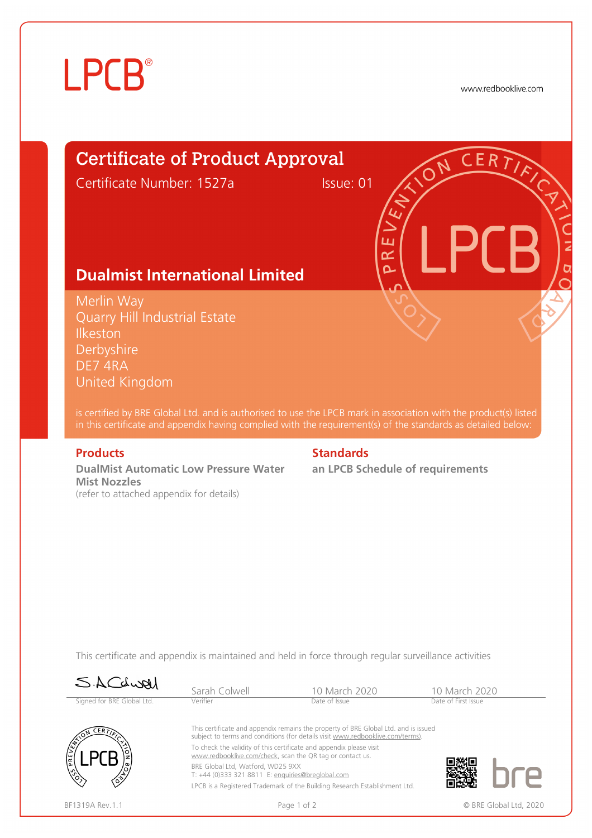# **LPCB**®

www.redbooklive.com

# Certificate of Product Approval

Certificate Number: 1527a Issue: 01

### **Dualmist International Limited**

Merlin Way Quarry Hill Industrial Estate **Ilkeston Derbyshire** DE7 4RA United Kingdom

is certified by BRE Global Ltd. and is authorised to use the LPCB mark in association with the product(s) listed in this certificate and appendix having complied with the requirement(s) of the standards as detailed below:

**DualMist Automatic Low Pressure Water Mist Nozzles**  (refer to attached appendix for details)

### **Products** Standards **Standards**

**an LPCB Schedule of requirements** 

ய œ  $\overline{\mathbf{C}}$ 

This certificate and appendix is maintained and held in force through regular surveillance activities

| SACLURI                                                  | Sarah Colwell                                                                                                                                                         | 10 March 2020                                                              | 10 March 2020          |  |  |  |
|----------------------------------------------------------|-----------------------------------------------------------------------------------------------------------------------------------------------------------------------|----------------------------------------------------------------------------|------------------------|--|--|--|
| Signed for BRE Global Ltd.                               | Verifier                                                                                                                                                              | Date of Issue                                                              | Date of First Issue    |  |  |  |
| CERFT<br>E<br>/୦,<br>$\langle \hat{\mathcal{E}} \rangle$ | This certificate and appendix remains the property of BRE Global Ltd. and is issued<br>subject to terms and conditions (for details visit www.redbooklive.com/terms). |                                                                            |                        |  |  |  |
|                                                          | To check the validity of this certificate and appendix please visit<br>www.redbooklive.com/check, scan the QR tag or contact us.                                      |                                                                            |                        |  |  |  |
|                                                          | BRE Global Ltd. Watford. WD25 9XX<br>T: +44 (0)333 321 8811 E: enquiries@breglobal.com                                                                                |                                                                            |                        |  |  |  |
|                                                          |                                                                                                                                                                       | LPCB is a Registered Trademark of the Building Research Establishment Ltd. |                        |  |  |  |
| BF1319A Rev. 1.1                                         |                                                                                                                                                                       | Page 1 of 2                                                                | © BRE Global Ltd, 2020 |  |  |  |